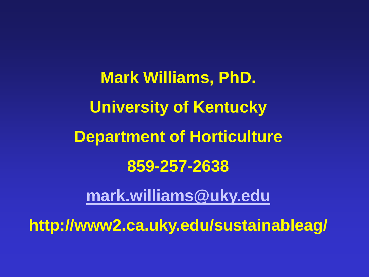**Mark Williams, PhD. University of Kentucky Department of Horticulture 859-257-2638**

**[mark.williams@uky.edu](mailto:mark.williams@uky.edu)**

**http://www2.ca.uky.edu/sustainableag/**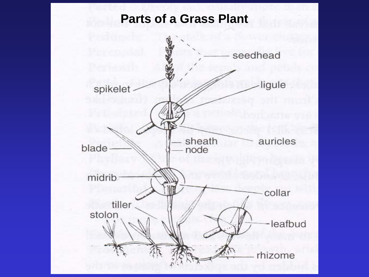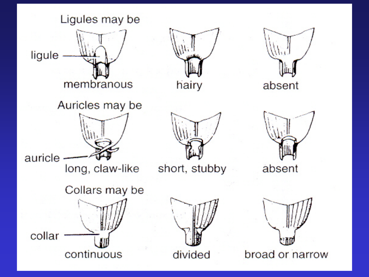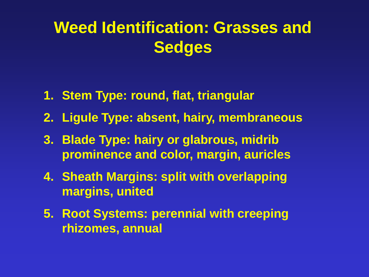# **Weed Identification: Grasses and Sedges**

- **1. Stem Type: round, flat, triangular**
- **2. Ligule Type: absent, hairy, membraneous**
- **3. Blade Type: hairy or glabrous, midrib prominence and color, margin, auricles**
- **4. Sheath Margins: split with overlapping margins, united**
- **5. Root Systems: perennial with creeping rhizomes, annual**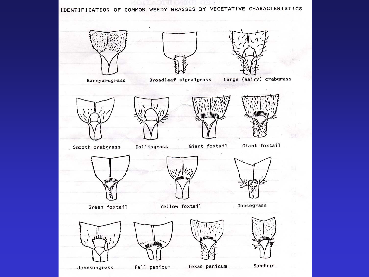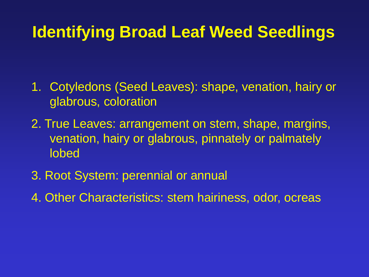## **Identifying Broad Leaf Weed Seedlings**

- 1. Cotyledons (Seed Leaves): shape, venation, hairy or glabrous, coloration
- 2. True Leaves: arrangement on stem, shape, margins, venation, hairy or glabrous, pinnately or palmately lobed
- 3. Root System: perennial or annual
- 4. Other Characteristics: stem hairiness, odor, ocreas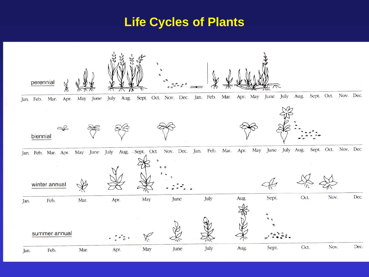#### **Life Cycles of Plants**

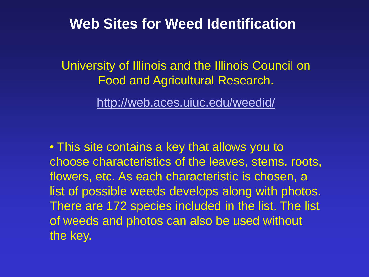University of Illinois and the Illinois Council on Food and Agricultural Research.

<http://web.aces.uiuc.edu/weedid/>

• This site contains a key that allows you to choose characteristics of the leaves, stems, roots, flowers, etc. As each characteristic is chosen, a list of possible weeds develops along with photos. There are 172 species included in the list. The list of weeds and photos can also be used without the key.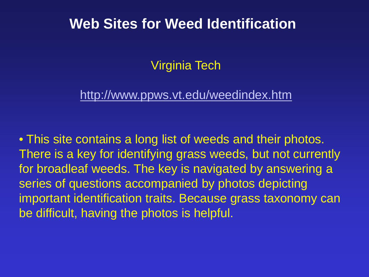Virginia Tech

#### <http://www.ppws.vt.edu/weedindex.htm>

• This site contains a long list of weeds and their photos. There is a key for identifying grass weeds, but not currently for broadleaf weeds. The key is navigated by answering a series of questions accompanied by photos depicting important identification traits. Because grass taxonomy can be difficult, having the photos is helpful.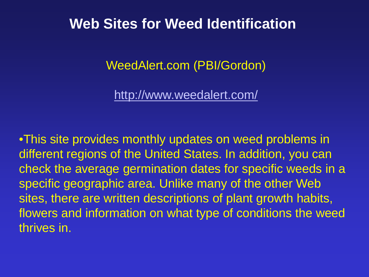WeedAlert.com (PBI/Gordon)

<http://www.weedalert.com/>

•This site provides monthly updates on weed problems in different regions of the United States. In addition, you can check the average germination dates for specific weeds in a specific geographic area. Unlike many of the other Web sites, there are written descriptions of plant growth habits, flowers and information on what type of conditions the weed thrives in.